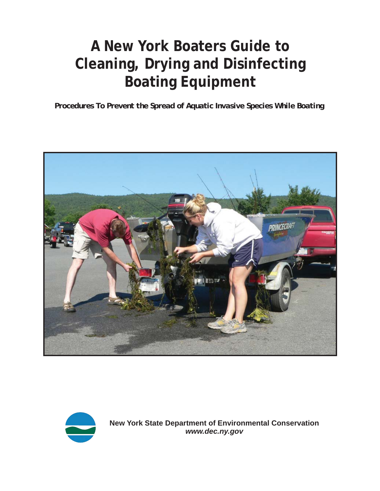# **A New York Boaters Guide to Cleaning, Drying and Disinfecting Boating Equipment**

*Procedures To Prevent the Spread of Aquatic Invasive Species While Boating* 





**New York State Department of Environmental Conservation** *<www.dec.ny.gov>*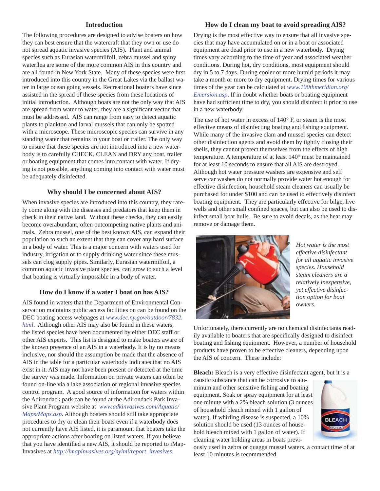#### **Introduction**

The following procedures are designed to advise boaters on how they can best ensure that the watercraft that they own or use do not spread aquatic invasive species (AIS). Plant and animal species such as Eurasian watermilfoil, zebra mussel and spiny waterflea are some of the more common AIS in this country and are all found in New York State. Many of these species were first introduced into this country in the Great Lakes via the ballast water in large ocean going vessels. Recreational boaters have since assisted in the spread of these species from these locations of initial introduction. Although boats are not the only way that AIS are spread from water to water, they are a significant vector that must be addressed. AIS can range from easy to detect aquatic plants to plankton and larval mussels that can only be spotted with a microscope. These microscopic species can survive in any standing water that remains in your boat or trailer. The only way to ensure that these species are not introduced into a new waterbody is to carefully CHECK, CLEAN and DRY any boat, trailer or boating equipment that comes into contact with water. If drying is not possible, anything coming into contact with water must be adequately disinfected.

#### **Why should I be concerned about AIS?**

When invasive species are introduced into this country, they rarely come along with the diseases and predators that keep them in check in their native land. Without these checks, they can easily become overabundant, often outcompeting native plants and animals. Zebra mussel, one of the best known AIS, can expand their population to such an extent that they can cover any hard surface in a body of water. This is a major concern with waters used for industry, irrigation or to supply drinking water since these mussels can clog supply pipes. Similarly, Eurasian watermilfoil, a common aquatic invasive plant species, can grow to such a level that boating is virtually impossible in a body of water.

### **How do I know if a water I boat on has AIS?**

AIS found in waters that the Department of Environmental Conservation maintains public access facilities on can be found on the DEC boating access webpages at *[www.dec.ny.gov/outdoor/7832.](http://www.dec.ny.gov/outdoor/7832.html) [html](http://www.dec.ny.gov/outdoor/7832.html)*. Although other AIS may also be found in these waters, the listed species have been documented by either DEC staff or other AIS experts. This list is designed to make boaters aware of the known presence of an AIS in a waterbody. It is by no means inclusive, nor should the assumption be made that the absence of AIS in the table for a particular waterbody indicates that no AIS exist in it. AIS may not have been present or detected at the time the survey was made. Information on private waters can often be found on-line via a lake association or regional invasive species control program. A good source of information for waters within the Adirondack park can be found at the Adirondack Park Invasive Plant Program website at *[www.adkinvasives.com/Aquatic/](http://www.adkinvasives.com/Aquatic/Maps/Maps.asp)  [Maps/Maps.asp](http://www.adkinvasives.com/Aquatic/Maps/Maps.asp)*. Although boaters should still take appropriate procedures to dry or clean their boats even if a waterbody does not currently have AIS listed, it is paramount that boaters take the appropriate actions after boating on listed waters. If you believe that you have identified a new AIS, it should be reported to iMap-Invasives at *[http://imapinvasives.org/nyimi/report\\_invasives](http://imapinvasives.org/nyimi/report_invasives)*.

#### **How do I clean my boat to avoid spreading AIS?**

Drying is the most effective way to ensure that all invasive species that may have accumulated on or in a boat or associated equipment are dead prior to use in a new waterbody. Drying times vary according to the time of year and associated weather conditions. During hot, dry conditions, most equipment should dry in 5 to 7 days. During cooler or more humid periods it may take a month or more to dry equipment. Drying times for various times of the year can be calculated at *[www.100thmeridian.org/](http://www.100thmeridian.org/Emersion.asp)  [Emersion.asp](http://www.100thmeridian.org/Emersion.asp)*. If in doubt whether boats or boating equipment have had sufficient time to dry, you should disinfect it prior to use in a new waterbody.

The use of hot water in excess of 140° F, or steam is the most effective means of disinfecting boating and fishing equipment. While many of the invasive clam and mussel species can detect other disinfection agents and avoid them by tightly closing their shells, they cannot protect themselves from the effects of high temperature. A temperature of at least 140° must be maintained for at least 10 seconds to ensure that all AIS are destroyed. Although hot water pressure washers are expensive and self serve car washes do not normally provide water hot enough for effective disinfection, household steam cleaners can usually be purchased for under \$100 and can be used to effectively disinfect boating equipment. They are particularly effective for bilge, live wells and other small confined spaces, but can also be used to disinfect small boat hulls. Be sure to avoid decals, as the heat may remove or damage them.



*Hot water is the most effective disinfectant for all aquatic invasive species. Household steam cleaners are a relatively inexpensive, yet effective disinfection option for boat owners.* 

Unfortunately, there currently are no chemical disinfectants readily available to boaters that are specifically designed to disinfect boating and fishing equipment. However, a number of household products have proven to be effective cleaners, depending upon the AIS of concern. These include:

**Bleach:** Bleach is a very effective disinfectant agent, but it is a

caustic substance that can be corrosive to aluminum and other sensitive fishing and boating equipment. Soak or spray equipment for at least one minute with a 2% bleach solution (3 ounces of household bleach mixed with 1 gallon of water). If whirling disease is suspected, a 10% solution should be used (13 ounces of household bleach mixed with 1 gallon of water). If cleaning water holding areas in boats previ-



ously used in zebra or quagga mussel waters, a contact time of at least 10 minutes is recommended.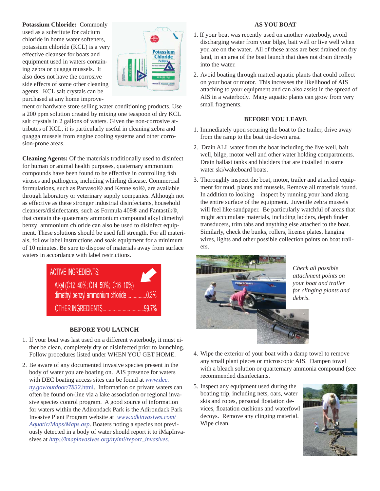#### **AS YOU BOAT**

**Potassium Chloride:** Commonly used as a substitute for calcium chloride in home water softeners, potassium chloride (KCL) is a very effective cleanser for boats and equipment used in waters containing zebra or quagga mussels. It also does not have the corrosive side effects of some other cleaning agents. KCL salt crystals can be purchased at any home improve-



ment or hardware store selling water conditioning products. Use a 200 ppm solution created by mixing one teaspoon of dry KCL salt crystals in 2 gallons of waters. Given the non-corrosive attributes of KCL, it is particularly useful in cleaning zebra and quagga mussels from engine cooling systems and other corrosion-prone areas.

**Cleaning Agents:** Of the materials traditionally used to disinfect for human or animal health purposes, quaternary ammonium compounds have been found to be effective in controlling fish viruses and pathogens, including whirling disease. Commercial formulations, such as Parvasol® and Kennelsol®, are available through laboratory or veterinary supply companies. Although not as effective as these stronger industrial disinfectants, household cleansers/disinfectants, such as Formula 409® and Fantastik®, that contain the quaternary ammonium compound alkyl dimethyl benzyl ammonium chloride can also be used to disinfect equipment. These solutions should be used full strength. For all materials, follow label instructions and soak equipment for a minimum of 10 minutes. Be sure to dispose of materials away from surface waters in accordance with label restrictions.



#### **BEFORE YOU LAUNCH**

- 1. If your boat was last used on a different waterbody, it must either be clean, completely dry or disinfected prior to launching. Follow procedures listed under WHEN YOU GET HOME.
- 2. Be aware of any documented invasive species present in the body of water you are boating on. AIS presence for waters with DEC boating access sites can be found at *[www.dec.](http://www.dec.ny.gov/outdoor/7832.html)  [ny.gov/outdoor/7832](http://www.dec.ny.gov/outdoor/7832.html)*.html. Information on private waters can often be found on-line via a lake association or regional invasive species control program. A good source of information for waters within the Adirondack Park is the Adirondack Park Invasive Plant Program website at *[www.adkinvasives.com/](http://adkinvasives.com/Aquatic/Maps/Maps.asp)  [Aquatic/Maps/Maps.asp](http://adkinvasives.com/Aquatic/Maps/Maps.asp)*. Boaters noting a species not previously detected in a body of water should report it to iMapInvasives at *[http://imapinvasives.org/nyimi/report\\_invasives](http://imapinvasives.org/nyimi/report_invasives)*.
- 1. If your boat was recently used on another waterbody, avoid discharging water from your bilge, bait well or live well when you are on the water. All of these areas are best drained on dry land, in an area of the boat launch that does not drain directly into the water.
- 2. Avoid boating through matted aquatic plants that could collect on your boat or motor. This increases the likelihood of AIS attaching to your equipment and can also assist in the spread of AIS in a waterbody. Many aquatic plants can grow from very small fragments.

#### **BEFORE YOU LEAVE**

- 1. Immediately upon securing the boat to the trailer, drive away from the ramp to the boat tie-down area.
- 2. Drain ALL water from the boat including the live well, bait well, bilge, motor well and other water holding compartments. Drain ballast tanks and bladders that are installed in some water ski/wakeboard boats.
- 3. Thoroughly inspect the boat, motor, trailer and attached equipment for mud, plants and mussels. Remove all materials found. In addition to looking – inspect by running your hand along the entire surface of the equipment. Juvenile zebra mussels will feel like sandpaper. Be particularly watchful of areas that might accumulate materials, including ladders, depth finder transducers, trim tabs and anything else attached to the boat. Similarly, check the bunks, rollers, license plates, hanging wires, lights and other possible collection points on boat trailers.



*Check all possible attachment points on your boat and trailer for clinging plants and debris.* 

- 4. Wipe the exterior of your boat with a damp towel to remove any small plant pieces or microscopic AIS. Dampen towel with a bleach solution or quarternary ammonia compound (see recommended disinfectants.
- 5. Inspect any equipment used during the boating trip, including nets, oars, water skis and ropes, personal floatation devices, floatation cushions and waterfowl decoys. Remove any clinging material. Wipe clean.

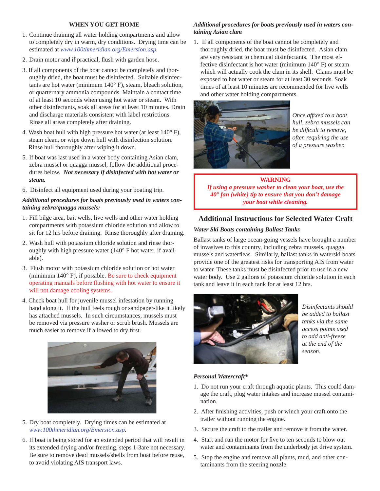#### **WHEN YOU GET HOME**

- 1. Continue draining all water holding compartments and allow to completely dry in warm, dry conditions. Drying time can be estimated at *www.10[0thmeridian.org/Emersion.asp.](www.100thmeridian.org/Emersion.asp)*
- 2. Drain motor and if practical, flush with garden hose.
- 3. If all components of the boat cannot be completely and thoroughly dried, the boat must be disinfected. Suitable disinfectants are hot water (minimum 140° F), steam, bleach solution, or quarternary ammonia compounds. Maintain a contact time of at least 10 seconds when using hot water or steam. With other disinfectants, soak all areas for at least 10 minutes. Drain and discharge materials consistent with label restrictions. Rinse all areas completely after draining.
- 4. Wash boat hull with high pressure hot water (at least 140° F), steam clean, or wipe down hull with disinfection solution. Rinse hull thoroughly after wiping it down.
- 5. If boat was last used in a water body containing Asian clam, zebra mussel or quagga mussel, follow the additional procedures below. *Not necessary if disinfected with hot water or steam.*
- 6. Disinfect all equipment used during your boating trip.

## *Additional procedures for boats previously used in waters containing zebra/quagga mussels:*

- 1. Fill bilge area, bait wells, live wells and other water holding compartments with potassium chloride solution and allow to sit for 12 hrs before draining. Rinse thoroughly after draining.
- 2. Wash hull with potassium chloride solution and rinse thoroughly with high pressure water (140° F hot water, if available).
- 3. Flush motor with potassium chloride solution or hot water (minimum 140° F), if possible. Be sure to check equipment operating manuals before flushing with hot water to ensure it will not damage cooling systems.
- 4. Check boat hull for juvenile mussel infestation by running hand along it. If the hull feels rough or sandpaper-like it likely has attached mussels. In such circumstances, mussels must be removed via pressure washer or scrub brush. Mussels are much easier to remove if allowed to dry first.



- 5. Dry boat completely. Drying times can be estimated at *<www.100thmeridian.org/Emersion.asp>*.
- 6. If boat is being stored for an extended period that will result in its extended drying and/or freezing, steps 1-3are not necessary. Be sure to remove dead mussels/shells from boat before reuse, to avoid violating AIS transport laws.

# *Additional procedures for boats previously used in waters containing Asian clam*

1. If all components of the boat cannot be completely and thoroughly dried, the boat must be disinfected. Asian clam are very resistant to chemical disinfectants. The most effective disinfectant is hot water (minimum 140° F) or steam which will actually cook the clam in its shell. Clams must be exposed to hot water or steam for at least 30 seconds. Soak times of at least 10 minutes are recommended for live wells and other water holding compartments.



*Once affixed to a boat hull, zebra mussels can be diffi cult to remove, often requiring the use of a pressure washer.* 

# **WARNING**  *If using a pressure washer to clean your boat, use the 40° fan (white) tip to ensure that you don't damage your boat while cleaning.*

# **Additional Instructions for Selected Water Craft**

## *Water Ski Boats containing Ballast Tanks*

Ballast tanks of large ocean-going vessels have brought a number of invasives to this country, including zebra mussels, quagga mussels and waterfleas. Similarly, ballast tanks in waterski boats provide one of the greatest risks for transporting AIS from water to water. These tanks must be disinfected prior to use in a new water body. Use 2 gallons of potassium chloride solution in each tank and leave it in each tank for at least 12 hrs.



*Disinfectants should be added to ballast tanks via the same access points used to add anti-freeze at the end of the season.* 

# *Personal Watercraft\**

- 1. Do not run your craft through aquatic plants. This could damage the craft, plug water intakes and increase mussel contamination.
- 2. After finishing activities, push or winch your craft onto the trailer without running the engine.
- 3. Secure the craft to the trailer and remove it from the water.
- 4. Start and run the motor for five to ten seconds to blow out water and contaminants from the underbody jet drive system.
- 5. Stop the engine and remove all plants, mud, and other contaminants from the steering nozzle.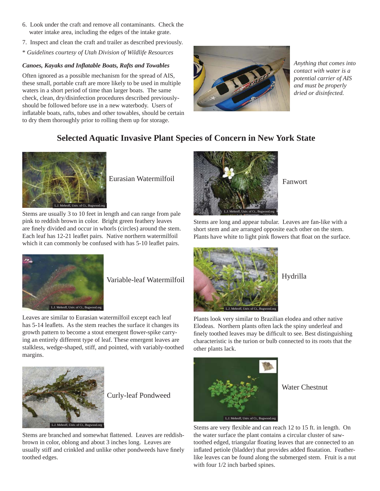- 6. Look under the craft and remove all contaminants. Check the water intake area, including the edges of the intake grate.
- 7. Inspect and clean the craft and trailer as described previously.
- \* *Guidelines courtesy of Utah Division of Wildlife Resources*

# *Canoes, Kayaks and Inflatable Boats, Rafts and Towables*

Often ignored as a possible mechanism for the spread of AIS, these small, portable craft are more likely to be used in multiple waters in a short period of time than larger boats. The same check, clean, dry/disinfection procedures described previouslyshould be followed before use in a new waterbody. Users of inflatable boats, rafts, tubes and other towables, should be certain to dry them thoroughly prior to rolling them up for storage.



*Anything that comes into contact with water is a potential carrier of AIS and must be properly dried or disinfected.* 

# **Selected Aquatic Invasive Plant Species of Concern in New York State**



Eurasian Watermilfoil

Stems are usually 3 to 10 feet in length and can range from pale pink to reddish brown in color. Bright green feathery leaves are finely divided and occur in whorls (circles) around the stem. Each leaf has 12-21 leaflet pairs. Native northern watermilfoil which it can commonly be confused with has 5-10 leaflet pairs.



Fanwort

Stems are long and appear tubular. Leaves are fan-like with a short stem and are arranged opposite each other on the stem. Plants have white to light pink flowers that float on the surface.



Variable-leaf Watermilfoil

Leaves are similar to Eurasian watermilfoil except each leaf has 5-14 leaflets. As the stem reaches the surface it changes its growth pattern to become a stout emergent flower-spike carrying an entirely different type of leaf. These emergent leaves are stalkless, wedge-shaped, stiff, and pointed, with variably-toothed margins.



Curly-leaf Pondweed

Stems are branched and somewhat flattened. Leaves are reddishbrown in color, oblong and about 3 inches long. Leaves are usually stiff and crinkled and unlike other pondweeds have finely toothed edges.



Hydrilla

Plants look very similar to Brazilian elodea and other native Elodeas. Northern plants often lack the spiny underleaf and finely toothed leaves may be difficult to see. Best distinguishing characteristic is the turion or bulb connected to its roots that the other plants lack.



Water Chestnut

Stems are very flexible and can reach 12 to 15 ft. in length. On the water surface the plant contains a circular cluster of sawtoothed edged, triangular floating leaves that are connected to an inflated petiole (bladder) that provides added floatation. Featherlike leaves can be found along the submerged stem. Fruit is a nut with four 1/2 inch barbed spines.